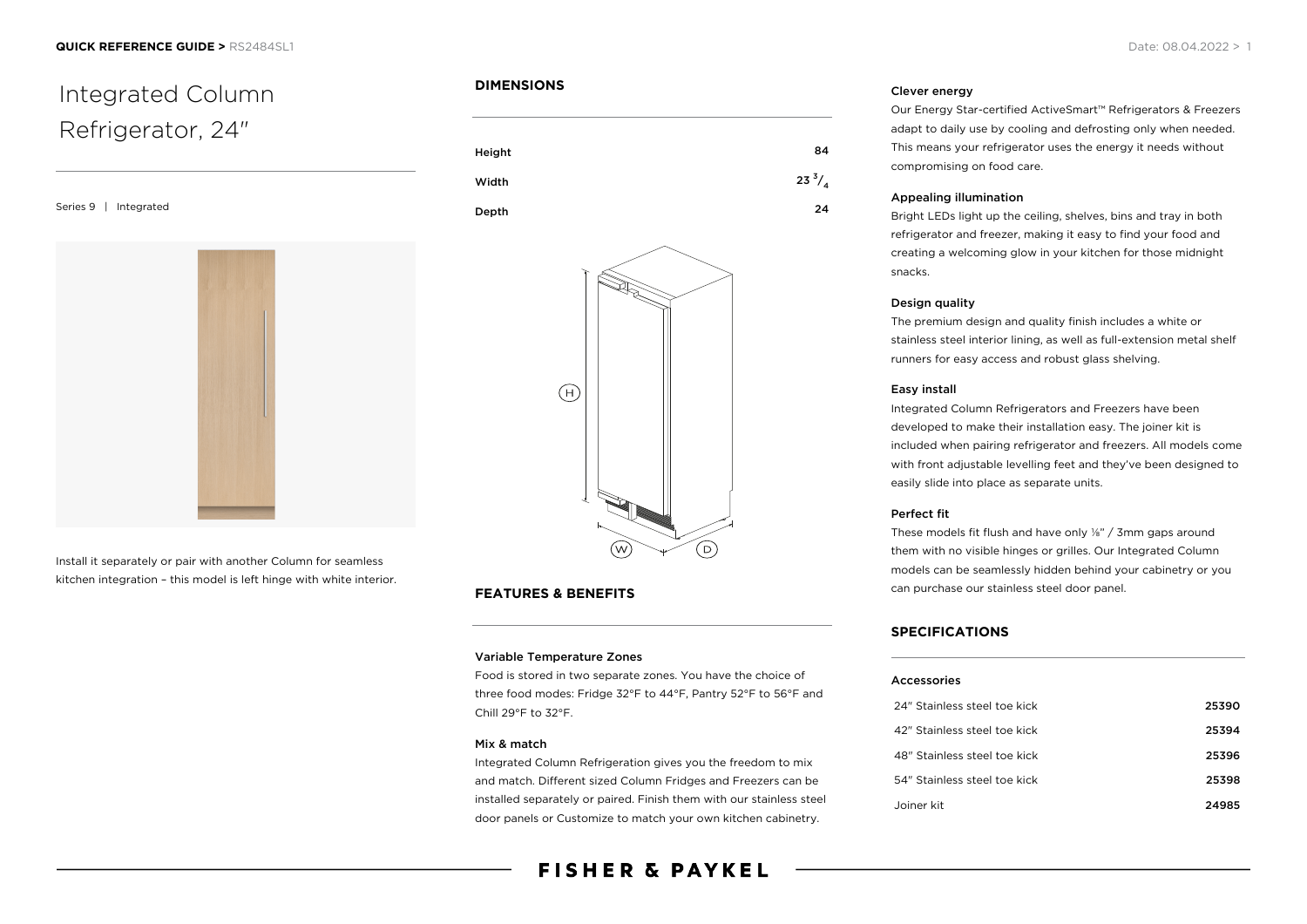

Install it separately or pair with another Column for seamless kitchen integration – this model is left hinge with white interior.

# **DIMENSIONS**





# **FEATURES & BENEFITS**

#### Variable Temperature Zones

Food is stored in two separate zones. You have the choice of three food modes: Fridge 32°F to 44°F, Pantry 52°F to 56°F and Chill 29°F to 32°F.

# Mix & match

Integrated Column Refrigeration gives you the freedom to mix and match. Different sized Column Fridges and Freezers can be installed separately or paired. Finish them with our stainless steel door panels or Customize to match your own kitchen cabinetry.

# **FISHER & PAYKEL**

#### Clever energy

Our Energy Star-certified ActiveSmart™ Refrigerators & Freezers adapt to daily use by cooling and defrosting only when needed. This means your refrigerator uses the energy it needs without compromising on food care.

#### Appealing illumination

Bright LEDs light up the ceiling, shelves, bins and tray in both refrigerator and freezer, making it easy to find your food and creating a welcoming glow in your kitchen for those midnight snacks.

#### Design quality

The premium design and quality finish includes a white or stainless steel interior lining, as well as full-extension metal shelf runners for easy access and robust glass shelving.

#### Easy install

Integrated Column Refrigerators and Freezers have been developed to make their installation easy. The joiner kit is included when pairing refrigerator and freezers. All models come with front adjustable levelling feet and they've been designed to easily slide into place as separate units.

#### Perfect fit

These models fit flush and have only ⅛" / 3mm gaps around them with no visible hinges or grilles. Our Integrated Column models can be seamlessly hidden behind your cabinetry or you can purchase our stainless steel door panel.

# **SPECIFICATIONS**

#### Accessories

| 24" Stainless steel toe kick | 25390 |
|------------------------------|-------|
| 42" Stainless steel toe kick | 25394 |
| 48" Stainless steel toe kick | 25396 |
| 54" Stainless steel toe kick | 25398 |
| Joiner kit                   | 24985 |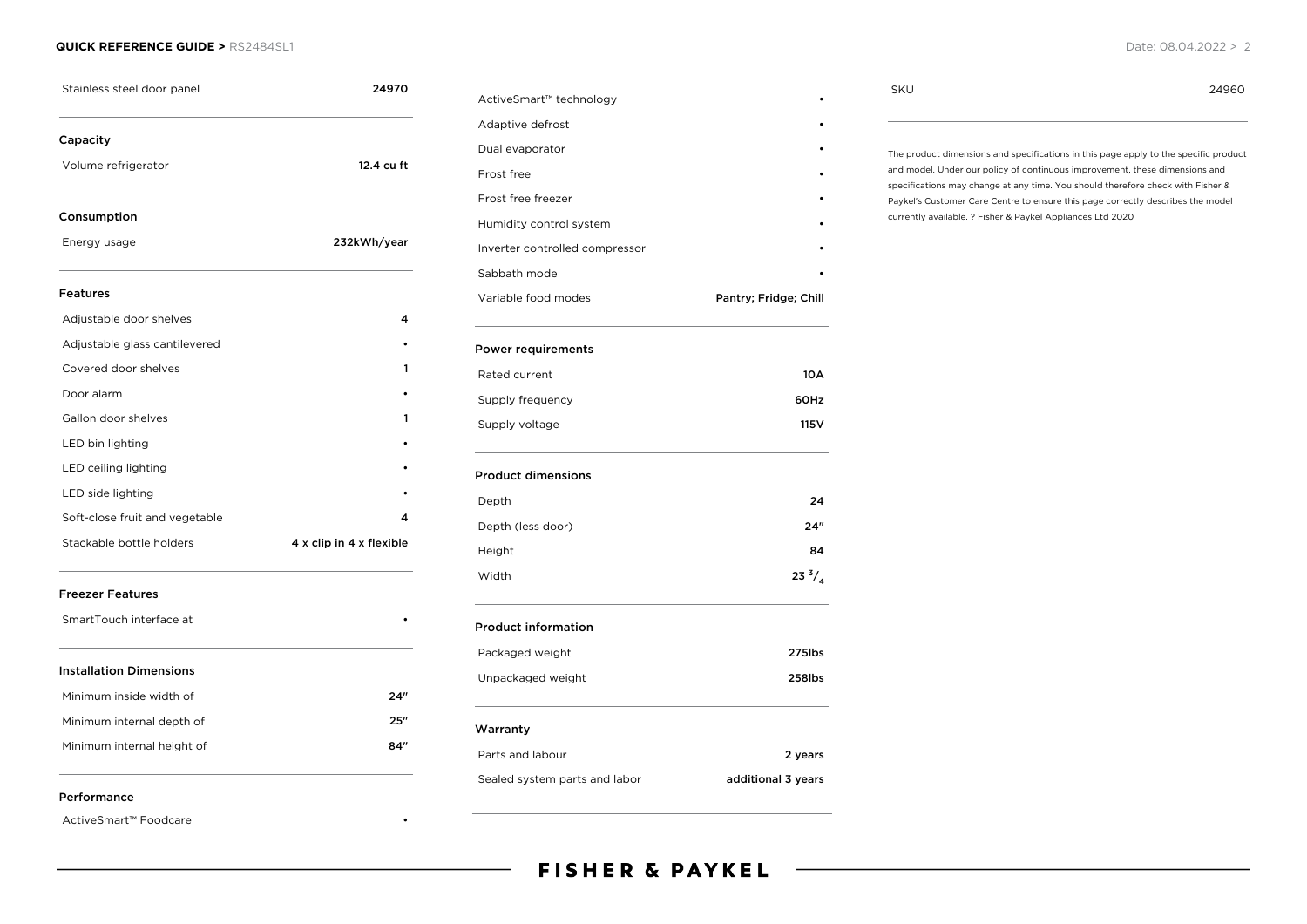#### **QUICK REFERENCE GUIDE >** RS2484SL1 Date: 08.04.2022 > 2

| Stainless steel door panel     | 24970                    |  |
|--------------------------------|--------------------------|--|
| Capacity                       |                          |  |
| Volume refrigerator            | 12.4 cu ft               |  |
| Consumption                    |                          |  |
| Energy usage                   | 232kWh/year              |  |
| <b>Features</b>                |                          |  |
| Adjustable door shelves        | 4                        |  |
| Adjustable glass cantilevered  |                          |  |
| Covered door shelves           |                          |  |
| Door alarm                     |                          |  |
| Gallon door shelves            | ı                        |  |
| LED bin lighting               |                          |  |
| LED ceiling lighting           |                          |  |
| LED side lighting              |                          |  |
| Soft-close fruit and vegetable |                          |  |
| Stackable bottle holders       | 4 x clip in 4 x flexible |  |
| <b>Freezer Features</b>        |                          |  |
| SmartTouch interface at        |                          |  |
| <b>Installation Dimensions</b> |                          |  |
| Minimum inside width of        | 24"                      |  |
| Minimum internal depth of      | 25"                      |  |
| Minimum internal height of     | 84″                      |  |

| ActiveSmart™ technology        |                       |
|--------------------------------|-----------------------|
| Adaptive defrost               |                       |
| Dual evaporator                |                       |
| Frost free                     |                       |
| Frost free freezer             |                       |
| Humidity control system        |                       |
| Inverter controlled compressor |                       |
| Sabbath mode                   |                       |
| Variable food modes            | Pantry; Fridge; Chill |
| <b>Power requirements</b>      |                       |
| Rated current                  | 10 A                  |
| Supply frequency               | 60Hz                  |
| Supply voltage                 | 115 V                 |
| <b>Product dimensions</b>      |                       |
| Depth                          | 24                    |
| Depth (less door)              | 24"                   |
| Height                         | 84                    |
| Width                          | $23^{3}/_{4}$         |
| <b>Product information</b>     |                       |
| Packaged weight                | 275lbs                |
| Unpackaged weight              | 258lbs                |
| Warranty                       |                       |
| Parts and labour               | 2 years               |
| Sealed system parts and labor  | additional 3 years    |

# SKU 24960

The product dimensions and specifications in this page apply to the specific product and model. Under our policy of continuous improvement, these dimensions and specifications may change at any time. You should therefore check with Fisher & Paykel's Customer Care Centre to ensure this page correctly describes the model currently available. ? Fisher & Paykel Appliances Ltd 2020

#### Performance

ActiveSmart™ Foodcare •